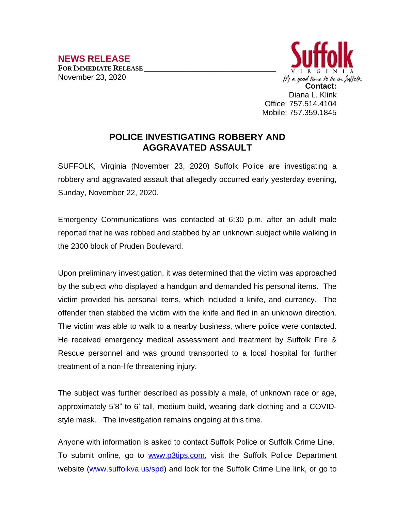

## **POLICE INVESTIGATING ROBBERY AND AGGRAVATED ASSAULT**

SUFFOLK, Virginia (November 23, 2020) Suffolk Police are investigating a robbery and aggravated assault that allegedly occurred early yesterday evening, Sunday, November 22, 2020.

Emergency Communications was contacted at 6:30 p.m. after an adult male reported that he was robbed and stabbed by an unknown subject while walking in the 2300 block of Pruden Boulevard.

Upon preliminary investigation, it was determined that the victim was approached by the subject who displayed a handgun and demanded his personal items. The victim provided his personal items, which included a knife, and currency. The offender then stabbed the victim with the knife and fled in an unknown direction. The victim was able to walk to a nearby business, where police were contacted. He received emergency medical assessment and treatment by Suffolk Fire & Rescue personnel and was ground transported to a local hospital for further treatment of a non-life threatening injury.

The subject was further described as possibly a male, of unknown race or age, approximately 5'8" to 6' tall, medium build, wearing dark clothing and a COVIDstyle mask. The investigation remains ongoing at this time.

Anyone with information is asked to contact Suffolk Police or Suffolk Crime Line. To submit online, go to [www.p3tips.com](http://www.p3tips.com), visit the Suffolk Police Department website ([www.suffolkva.us/spd](http://www.suffolkva.us/spd)) and look for the Suffolk Crime Line link, or go to